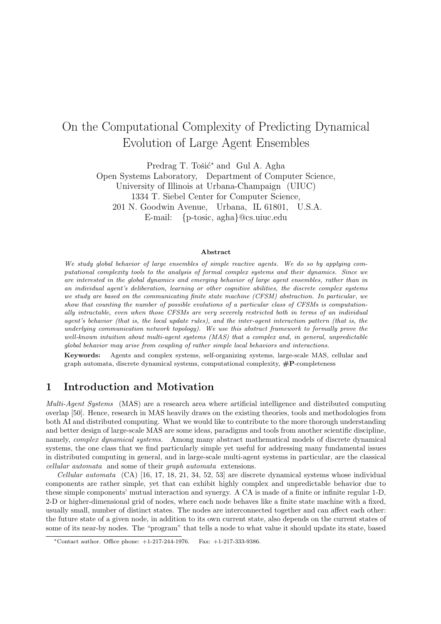# On the Computational Complexity of Predicting Dynamical Evolution of Large Agent Ensembles

Predrag T. Tošić<sup>\*</sup> and Gul A. Agha Open Systems Laboratory, Department of Computer Science, University of Illinois at Urbana-Champaign (UIUC) 1334 T. Siebel Center for Computer Science, 201 N. Goodwin Avenue, Urbana, IL 61801, U.S.A. E-mail: {p-tosic, agha}@cs.uiuc.edu

#### Abstract

We study global behavior of large ensembles of simple reactive agents. We do so by applying computational complexity tools to the analysis of formal complex systems and their dynamics. Since we are interested in the global dynamics and emerging behavior of large agent ensembles, rather than in an individual agent's deliberation, learning or other cognitive abilities, the discrete complex systems we study are based on the communicating finite state machine (CFSM) abstraction. In particular, we show that counting the number of possible evolutions of a particular class of CFSMs is computationally intractable, even when those CFSMs are very severely restricted both in terms of an individual agent's behavior (that is, the local update rules), and the inter-agent interaction pattern (that is, the underlying communication network topology). We use this abstract framework to formally prove the well-known intuition about multi-agent systems (MAS) that a complex and, in general, unpredictable global behavior may arise from coupling of rather simple local behaviors and interactions.

Keywords: Agents and complex systems, self-organizing systems, large-scale MAS, cellular and graph automata, discrete dynamical systems, computational complexity,  $\#P$ -completeness

## 1 Introduction and Motivation

Multi-Agent Systems (MAS) are a research area where artificial intelligence and distributed computing overlap [50]. Hence, research in MAS heavily draws on the existing theories, tools and methodologies from both AI and distributed computing. What we would like to contribute to the more thorough understanding and better design of large-scale MAS are some ideas, paradigms and tools from another scientific discipline, namely, *complex dynamical systems*. Among many abstract mathematical models of discrete dynamical systems, the one class that we find particularly simple yet useful for addressing many fundamental issues in distributed computing in general, and in large-scale multi-agent systems in particular, are the classical cellular automata and some of their graph automata extensions.

Cellular automata (CA) [16, 17, 18, 21, 34, 52, 53] are discrete dynamical systems whose individual components are rather simple, yet that can exhibit highly complex and unpredictable behavior due to these simple components' mutual interaction and synergy. A CA is made of a finite or infinite regular 1-D, 2-D or higher-dimensional grid of nodes, where each node behaves like a finite state machine with a fixed, usually small, number of distinct states. The nodes are interconnected together and can affect each other: the future state of a given node, in addition to its own current state, also depends on the current states of some of its near-by nodes. The "program" that tells a node to what value it should update its state, based

<sup>∗</sup>Contact author. Office phone: +1-217-244-1976. Fax: +1-217-333-9386.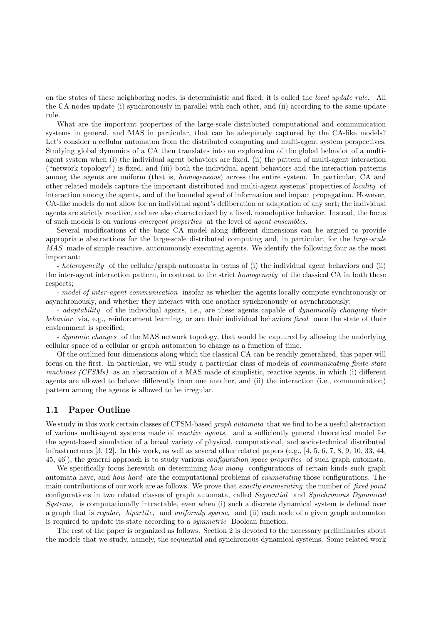on the states of these neighboring nodes, is deterministic and fixed; it is called the local update rule. All the CA nodes update (i) synchronously in parallel with each other, and (ii) according to the same update rule.

What are the important properties of the large-scale distributed computational and communication systems in general, and MAS in particular, that can be adequately captured by the CA-like models? Let's consider a cellular automaton from the distributed computing and multi-agent system perspectives. Studying global dynamics of a CA then translates into an exploration of the global behavior of a multiagent system when (i) the individual agent behaviors are fixed, (ii) the pattern of multi-agent interaction ("network topology") is fixed, and (iii) both the individual agent behaviors and the interaction patterns among the agents are uniform (that is, *homogeneous*) across the entire system. In particular, CA and other related models capture the important distributed and multi-agent systems' properties of locality of interaction among the agents, and of the bounded speed of information and impact propagation. However, CA-like models do not allow for an individual agent's deliberation or adaptation of any sort; the individual agents are strictly reactive, and are also characterized by a fixed, nonadaptive behavior. Instead, the focus of such models is on various emergent properties at the level of agent ensembles.

Several modifications of the basic CA model along different dimensions can be argued to provide appropriate abstractions for the large-scale distributed computing and, in particular, for the large-scale MAS made of simple reactive, autonomously executing agents. We identify the following four as the most important:

- heterogeneity of the cellular/graph automata in terms of (i) the individual agent behaviors and (ii) the inter-agent interaction pattern, in contrast to the strict *homogeneity* of the classical CA in both these respects;

- model of inter-agent communication insofar as whether the agents locally compute synchronously or asynchronously, and whether they interact with one another synchronously or asynchronously;

- *adaptability* of the individual agents, i.e., are these agents capable of *dynamically changing their* behavior via, e.g., reinforcement learning, or are their individual behaviors fixed once the state of their environment is specified;

- dynamic changes of the MAS network topology, that would be captured by allowing the underlying cellular space of a cellular or graph automaton to change as a function of time.

Of the outlined four dimensions along which the classical CA can be readily generalized, this paper will focus on the first. In particular, we will study a particular class of models of communicating finite state machines (CFSMs) as an abstraction of a MAS made of simplistic, reactive agents, in which (i) different agents are allowed to behave differently from one another, and (ii) the interaction (i.e., communication) pattern among the agents is allowed to be irregular.

### 1.1 Paper Outline

We study in this work certain classes of CFSM-based *graph automata* that we find to be a useful abstraction of various multi-agent systems made of reactive agents, and a sufficiently general theoretical model for the agent-based simulation of a broad variety of physical, computational, and socio-technical distributed infrastructures  $[3, 12]$ . In this work, as well as several other related papers (e.g.,  $[4, 5, 6, 7, 8, 9, 10, 33, 44,$ 45, 46]), the general approach is to study various configuration space properties of such graph automata.

We specifically focus herewith on determining how many configurations of certain kinds such graph automata have, and how hard are the computational problems of enumerating those configurations. The main contributions of our work are as follows. We prove that *exactly enumerating* the number of *fixed point* configurations in two related classes of graph automata, called Sequential and Synchronous Dynamical Systems, is computationally intractable, even when (i) such a discrete dynamical system is defined over a graph that is regular, bipartite, and uniformly sparse, and (ii) each node of a given graph automaton is required to update its state according to a symmetric Boolean function.

The rest of the paper is organized as follows. Section 2 is devoted to the necessary preliminaries about the models that we study, namely, the sequential and synchronous dynamical systems. Some related work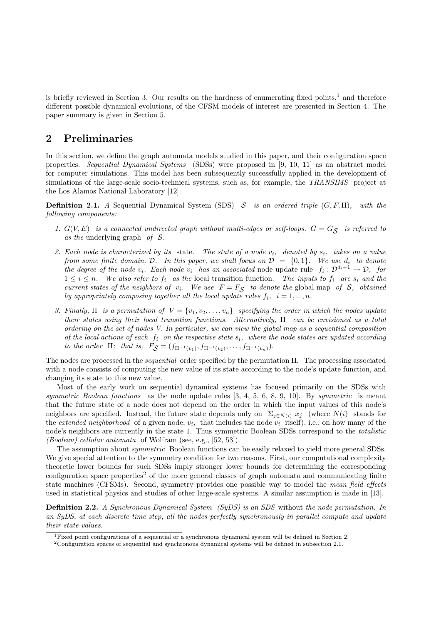is briefly reviewed in Section 3. Our results on the hardness of enumerating fixed points,<sup>1</sup> and therefore different possible dynamical evolutions, of the CFSM models of interest are presented in Section 4. The paper summary is given in Section 5.

# 2 Preliminaries

In this section, we define the graph automata models studied in this paper, and their configuration space properties. Sequential Dynamical Systems (SDSs) were proposed in [9, 10, 11] as an abstract model for computer simulations. This model has been subsequently successfully applied in the development of simulations of the large-scale socio-technical systems, such as, for example, the TRANSIMS project at the Los Alamos National Laboratory [12].

**Definition 2.1.** A Sequential Dynamical System (SDS) S is an ordered triple  $(G, F, \Pi)$ , with the following components:

- 1.  $G(V, E)$  is a connected undirected graph without multi-edges or self-loops.  $G = G_{\mathcal{S}}$  is referred to as the underlying graph of  $S$ .
- 2. Each node is characterized by its state. The state of a node  $v_i$ , denoted by  $s_i$ , takes on a value from some finite domain, D. In this paper, we shall focus on  $\mathcal{D} = \{0,1\}$ . We use  $d_i$  to denote the degree of the node  $v_i$ . Each node  $v_i$  has an associated node update rule  $f_i: \mathcal{D}^{d_i+1} \to \mathcal{D}$ , for  $1 \leq i \leq n$ . We also refer to  $f_i$  as the local transition function. The inputs to  $f_i$  are  $s_i$  and the current states of the neighbors of  $v_i$ . We use  $F = F_S$  to denote the global map of S, obtained by appropriately composing together all the local update rules  $f_i$ ,  $i = 1, ..., n$ .
- 3. Finally,  $\Pi$  is a permutation of  $V = \{v_1, v_2, \ldots, v_n\}$  specifying the order in which the nodes update their states using their local transition functions. Alternatively, Π can be envisioned as a total ordering on the set of nodes V. In particular, we can view the global map as a sequential composition of the local actions of each  $f_i$  on the respective state  $s_i$ , where the node states are updated according to the order  $\Pi$ ; that is,  $F_{\mathcal{S}} = (f_{\Pi^{-1}(v_1)}, f_{\Pi^{-1}(v_2)}, \dots, f_{\Pi^{-1}(v_n)}).$

The nodes are processed in the sequential order specified by the permutation Π. The processing associated with a node consists of computing the new value of its state according to the node's update function, and changing its state to this new value.

Most of the early work on sequential dynamical systems has focused primarily on the SDSs with symmetric Boolean functions as the node update rules  $[3, 4, 5, 6, 8, 9, 10]$ . By symmetric is meant that the future state of a node does not depend on the order in which the input values of this node's neighbors are specified. Instead, the future state depends only on  $\Sigma_{j\in N(i)} x_j$  (where  $N(i)$  stands for the *extended neighborhood* of a given node,  $v_i$ , that includes the node  $v_i$  itself), i.e., on how many of the node's neighbors are currently in the state 1. Thus symmetric Boolean SDSs correspond to the totalistic (Boolean) cellular automata of Wolfram (see, e.g., [52, 53]).

The assumption about *symmetric* Boolean functions can be easily relaxed to yield more general SDSs. We give special attention to the symmetry condition for two reasons. First, our computational complexity theoretic lower bounds for such SDSs imply stronger lower bounds for determining the corresponding configuration space properties<sup>2</sup> of the more general classes of graph automata and communicating finite state machines (CFSMs). Second, symmetry provides one possible way to model the mean field effects used in statistical physics and studies of other large-scale systems. A similar assumption is made in [13].

**Definition 2.2.** A Synchronous Dynamical System (SyDS) is an SDS without the node permutation. In an SyDS, at each discrete time step, all the nodes perfectly synchronously in parallel compute and update their state values.

<sup>&</sup>lt;sup>1</sup>Fixed point configurations of a sequential or a synchronous dynamical system will be defined in Section 2.

 $2$ Configuration spaces of sequential and synchronous dynamical systems will be defined in subsection 2.1.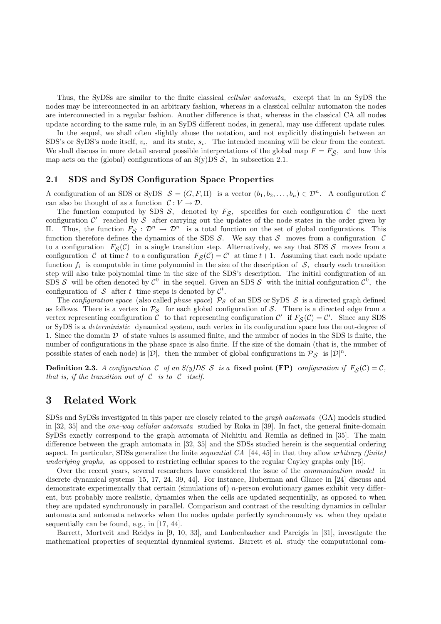Thus, the SyDSs are similar to the finite classical cellular automata, except that in an SyDS the nodes may be interconnected in an arbitrary fashion, whereas in a classical cellular automaton the nodes are interconnected in a regular fashion. Another difference is that, whereas in the classical CA all nodes update according to the same rule, in an SyDS different nodes, in general, may use different update rules.

In the sequel, we shall often slightly abuse the notation, and not explicitly distinguish between an SDS's or SyDS's node itself,  $v_i$ , and its state,  $s_i$ . The intended meaning will be clear from the context. We shall discuss in more detail several possible interpretations of the global map  $F = F_S$ , and how this map acts on the (global) configurations of an  $S(y)$ DS  $S$ , in subsection 2.1.

### 2.1 SDS and SyDS Configuration Space Properties

A configuration of an SDS or SyDS  $S = (G, F, \Pi)$  is a vector  $(b_1, b_2, \ldots, b_n) \in \mathcal{D}^n$ . A configuration C can also be thought of as a function  $C: V \to \mathcal{D}$ .

The function computed by SDS  $S$ , denoted by  $F_S$ , specifies for each configuration  $C$  the next configuration  $\mathcal{C}'$  reached by  $\mathcal S$  after carrying out the updates of the node states in the order given by II. Thus, the function  $F_S$  :  $\mathcal{D}^n$  →  $\mathcal{D}^n$  is a total function on the set of global configurations. This function therefore defines the dynamics of the SDS  $S$ . We say that  $S$  moves from a configuration  $C$ to a configuration  $F_{\mathcal{S}}(\mathcal{C})$  in a single transition step. Alternatively, we say that SDS  $\mathcal{S}$  moves from a configuration C at time t to a configuration  $F_{\mathcal{S}}(\mathcal{C}) = \mathcal{C}'$  at time  $t+1$ . Assuming that each node update function  $f_i$  is computable in time polynomial in the size of the description of  $S$ , clearly each transition step will also take polynomial time in the size of the SDS's description. The initial configuration of an SDS S will be often denoted by  $\mathcal{C}^0$  in the sequel. Given an SDS S with the initial configuration  $\mathcal{C}^0$ , the configuration of S after t time steps is denoted by  $\mathcal{C}^t$ .

The configuration space (also called phase space)  $P_S$  of an SDS or SyDS S is a directed graph defined as follows. There is a vertex in  $\mathcal{P}_{\mathcal{S}}$  for each global configuration of S. There is a directed edge from a vertex representing configuration C to that representing configuration C' if  $F_S(\mathcal{C}) = \mathcal{C}'$ . Since any SDS or SyDS is a deterministic dynamical system, each vertex in its configuration space has the out-degree of 1. Since the domain  $D$  of state values is assumed finite, and the number of nodes in the SDS is finite, the number of configurations in the phase space is also finite. If the size of the domain (that is, the number of possible states of each node) is  $|\mathcal{D}|$ , then the number of global configurations in  $\mathcal{P}_{\mathcal{S}}$  is  $|\mathcal{D}|^n$ .

**Definition 2.3.** A configuration C of an  $S(y)DS S$  is a fixed point (FP) configuration if  $F_S(\mathcal{C}) = \mathcal{C}$ , that is, if the transition out of  $C$  is to  $C$  itself.

### 3 Related Work

SDSs and SyDSs investigated in this paper are closely related to the graph automata (GA) models studied in [32, 35] and the one-way cellular automata studied by Roka in [39]. In fact, the general finite-domain SyDSs exactly correspond to the graph automata of Nichitiu and Remila as defined in [35]. The main difference between the graph automata in [32, 35] and the SDSs studied herein is the sequential ordering aspect. In particular, SDSs generalize the finite sequential CA  $[44, 45]$  in that they allow arbitrary (finite) underlying graphs, as opposed to restricting cellular spaces to the regular Cayley graphs only [16].

Over the recent years, several researchers have considered the issue of the communication model in discrete dynamical systems [15, 17, 24, 39, 44]. For instance, Huberman and Glance in [24] discuss and demonstrate experimentally that certain (simulations of) *n*-person evolutionary games exhibit very different, but probably more realistic, dynamics when the cells are updated sequentially, as opposed to when they are updated synchronously in parallel. Comparison and contrast of the resulting dynamics in cellular automata and automata networks when the nodes update perfectly synchronously vs. when they update sequentially can be found, e.g., in [17, 44].

Barrett, Mortveit and Reidys in [9, 10, 33], and Laubenbacher and Pareigis in [31], investigate the mathematical properties of sequential dynamical systems. Barrett et al. study the computational com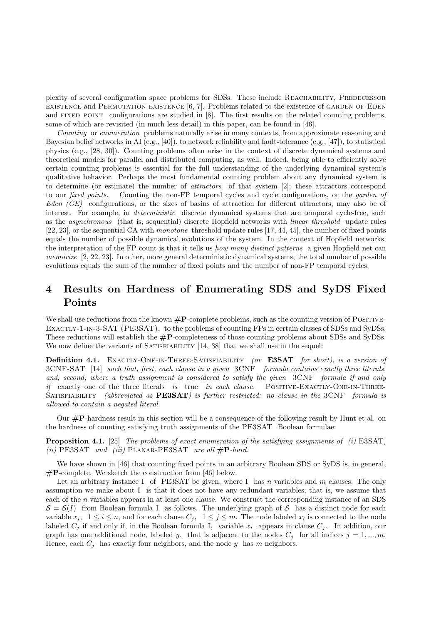plexity of several configuration space problems for SDSs. These include REACHABILITY, PREDECESSOR EXISTENCE and PERMUTATION EXISTENCE  $[6, 7]$ . Problems related to the existence of GARDEN OF EDEN and FIXED POINT configurations are studied in  $[8]$ . The first results on the related counting problems, some of which are revisited (in much less detail) in this paper, can be found in [46].

Counting or enumeration problems naturally arise in many contexts, from approximate reasoning and Bayesian belief networks in AI (e.g., [40]), to network reliability and fault-tolerance (e.g., [47]), to statistical physics (e.g., [28, 30]). Counting problems often arise in the context of discrete dynamical systems and theoretical models for parallel and distributed computing, as well. Indeed, being able to efficiently solve certain counting problems is essential for the full understanding of the underlying dynamical system's qualitative behavior. Perhaps the most fundamental counting problem about any dynamical system is to determine (or estimate) the number of attractors of that system [2]; these attractors correspond to our *fixed points.* Counting the non-FP temporal cycles and cycle configurations, or the *garden of* Eden  $(GE)$  configurations, or the sizes of basins of attraction for different attractors, may also be of interest. For example, in deterministic discrete dynamical systems that are temporal cycle-free, such as the asynchronous (that is, sequential) discrete Hopfield networks with linear threshold update rules [22, 23], or the sequential CA with monotone threshold update rules [17, 44, 45], the number of fixed points equals the number of possible dynamical evolutions of the system. In the context of Hopfield networks, the interpretation of the FP count is that it tells us *how many distinct patterns* a given Hopfield net can memorize [2, 22, 23]. In other, more general deterministic dynamical systems, the total number of possible evolutions equals the sum of the number of fixed points and the number of non-FP temporal cycles.

# 4 Results on Hardness of Enumerating SDS and SyDS Fixed Points

We shall use reductions from the known  $\#P$ -complete problems, such as the counting version of POSITIVE-Exactly-1-in-3-SAT (PE3SAT), to the problems of counting FPs in certain classes of SDSs and SyDSs. These reductions will establish the #P-completeness of those counting problems about SDSs and SyDSs. We now define the variants of SATISFIABILITY [14, 38] that we shall use in the sequel:

Definition 4.1. EXACTLY-ONE-IN-THREE-SATISFIABILITY (or E3SAT for short), is a version of 3CNF-SAT [14] such that, first, each clause in a given 3CNF formula contains exactly three literals, and, second, where a truth assignment is considered to satisfy the given 3CNF formula if and only  $if$  exactly one of the three literals is true in each clause. POSITIVE-EXACTLY-ONE-IN-THREE-SATISFIABILITY (abbreviated as PE3SAT) is further restricted: no clause in the 3CNF formula is allowed to contain a negated literal.

Our  $\#P$ -hardness result in this section will be a consequence of the following result by Hunt et al. on the hardness of counting satisfying truth assignments of the PE3SAT Boolean formulae:

**Proposition 4.1.** [25] The problems of exact enumeration of the satisfying assignments of (i) E3SAT, (ii)  $PE3SAT$  and (iii)  $PLANAR-PESSAT$  are all  $\#P$ -hard.

We have shown in [46] that counting fixed points in an arbitrary Boolean SDS or SyDS is, in general,  $\#\mathbf{P}$ -complete. We sketch the construction from [46] below.

Let an arbitrary instance I of PE3SAT be given, where I has n variables and  $m$  clauses. The only assumption we make about I is that it does not have any redundant variables; that is, we assume that each of the n variables appears in at least one clause. We construct the corresponding instance of an SDS  $S = S(I)$  from Boolean formula I as follows. The underlying graph of S has a distinct node for each variable  $x_i$ ,  $1 \le i \le n$ , and for each clause  $C_j$ ,  $1 \le j \le m$ . The node labeled  $x_i$  is connected to the node labeled  $C_j$  if and only if, in the Boolean formula I, variable  $x_i$  appears in clause  $C_j$ . In addition, our graph has one additional node, labeled y, that is adjacent to the nodes  $C_j$  for all indices  $j = 1, ..., m$ . Hence, each  $C_i$  has exactly four neighbors, and the node y has m neighbors.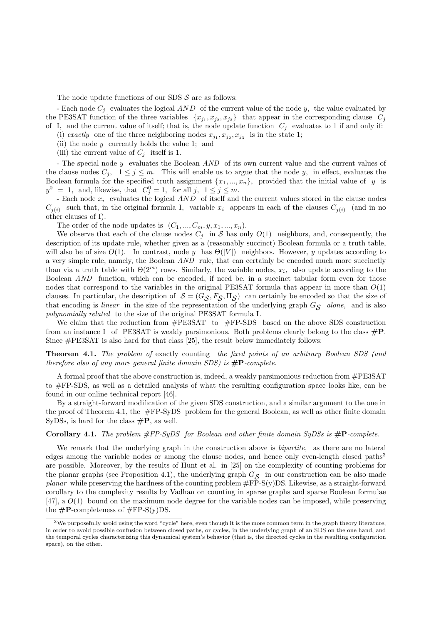The node update functions of our SDS  $S$  are as follows:

- Each node  $C_j$  evaluates the logical  $AND$  of the current value of the node y, the value evaluated by the PE3SAT function of the three variables  $\{x_{j_1}, x_{j_2}, x_{j_3}\}\$  that appear in the corresponding clause  $C_j$ of I, and the current value of itself; that is, the node update function  $C_j$  evaluates to 1 if and only if:

(i) exactly one of the three neighboring nodes  $x_{j_1}, x_{j_2}, x_{j_3}$  is in the state 1;

(ii) the node  $y$  currently holds the value 1; and

(iii) the current value of  $C_i$  itself is 1.

- The special node y evaluates the Boolean AND of its own current value and the current values of the clause nodes  $C_i$ ,  $1 \leq j \leq m$ . This will enable us to argue that the node y, in effect, evaluates the Boolean formula for the specified truth assignment  $\{x_1, ..., x_n\}$ , provided that the initial value of y is  $y^0 = 1$ , and, likewise, that  $C_j^0 = 1$ , for all  $j, 1 \le j \le m$ .

- Each node  $x_i$  evaluates the logical  $AND$  of itself and the current values stored in the clause nodes  $C_{i(i)}$  such that, in the original formula I, variable  $x_i$  appears in each of the clauses  $C_{i(i)}$  (and in no other clauses of I).

The order of the node updates is  $(C_1, ..., C_m, y, x_1, ..., x_n)$ .

We observe that each of the clause nodes  $C_i$  in S has only  $O(1)$  neighbors, and, consequently, the description of its update rule, whether given as a (reasonably succinct) Boolean formula or a truth table, will also be of size  $O(1)$ . In contrast, node y has  $\Theta(|V|)$  neighbors. However, y updates according to a very simple rule, namely, the Boolean AND rule, that can certainly be encoded much more succinctly than via a truth table with  $\Theta(2^m)$  rows. Similarly, the variable nodes,  $x_i$ , also update according to the Boolean AND function, which can be encoded, if need be, in a succinct tabular form even for those nodes that correspond to the variables in the original PE3SAT formula that appear in more than  $O(1)$ clauses. In particular, the description of  $S = (G_{\mathcal{S}}, F_{\mathcal{S}}, \Pi_{\mathcal{S}})$  can certainly be encoded so that the size of that encoding is *linear* in the size of the representation of the underlying graph  $G_{\mathcal{S}}$  alone, and is also polynomially related to the size of the original PE3SAT formula I.

We claim that the reduction from  $\#PE3SAT$  to  $\#FP-SDS$  based on the above SDS construction from an instance I of PE3SAT is weakly parsimonious. Both problems clearly belong to the class  $\#P$ . Since #PE3SAT is also hard for that class [25], the result below immediately follows:

Theorem 4.1. The problem of exactly counting the fixed points of an arbitrary Boolean SDS (and therefore also of any more general finite domain SDS) is  $\#P$ -complete.

A formal proof that the above construction is, indeed, a weakly parsimonious reduction from #PE3SAT to #FP-SDS, as well as a detailed analysis of what the resulting configuration space looks like, can be found in our online technical report [46].

By a straight-forward modification of the given SDS construction, and a similar argument to the one in the proof of Theorem 4.1, the #FP-SyDS problem for the general Boolean, as well as other finite domain SyDSs, is hard for the class  $\#P$ , as well.

#### **Corollary 4.1.** The problem  $\#FP\text{-}SyDS$  for Boolean and other finite domain SyDSs is  $\#P\text{-}complete$ .

We remark that the underlying graph in the construction above is *bipartite*, as there are no lateral edges among the variable nodes or among the clause nodes, and hence only even-length closed paths<sup>3</sup> are possible. Moreover, by the results of Hunt et al. in [25] on the complexity of counting problems for the planar graphs (see Proposition 4.1), the underlying graph  $G_{\mathcal{S}}$  in our construction can be also made *planar* while preserving the hardness of the counting problem  $\#FP-S(y)DS$ . Likewise, as a straight-forward corollary to the complexity results by Vadhan on counting in sparse graphs and sparse Boolean formulae [47], a  $O(1)$  bound on the maximum node degree for the variable nodes can be imposed, while preserving the  $\#P$ -completeness of  $\#FP-S(y)DS$ .

 $3$ We purposefully avoid using the word "cycle" here, even though it is the more common term in the graph theory literature, in order to avoid possible confusion between closed paths, or cycles, in the underlying graph of an SDS on the one hand, and the temporal cycles characterizing this dynamical system's behavior (that is, the directed cycles in the resulting configuration space), on the other.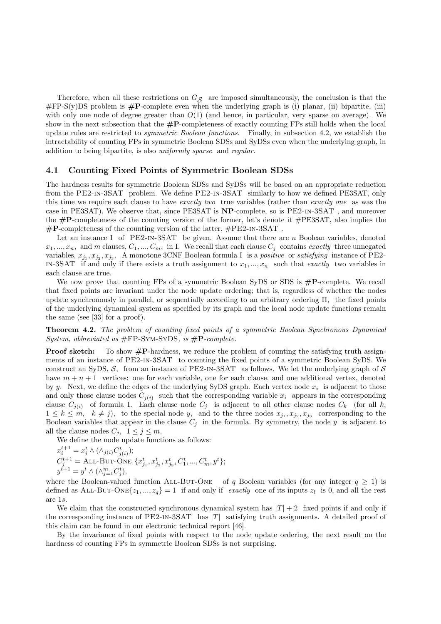Therefore, when all these restrictions on  $G_{\mathcal{S}}$  are imposed simultaneously, the conclusion is that the  $\#FP-S(y)DS$  problem is  $\#P$ -complete even when the underlying graph is (i) planar, (ii) bipartite, (iii) with only one node of degree greater than  $O(1)$  (and hence, in particular, very sparse on average). We show in the next subsection that the  $\#P$ -completeness of exactly counting FPs still holds when the local update rules are restricted to symmetric Boolean functions. Finally, in subsection 4.2, we establish the intractability of counting FPs in symmetric Boolean SDSs and SyDSs even when the underlying graph, in addition to being bipartite, is also uniformly sparse and regular.

### 4.1 Counting Fixed Points of Symmetric Boolean SDSs

The hardness results for symmetric Boolean SDSs and SyDSs will be based on an appropriate reduction from the PE2-in-3SAT problem. We define PE2-in-3SAT similarly to how we defined PE3SAT, only this time we require each clause to have exactly two true variables (rather than exactly one as was the case in PE3SAT). We observe that, since PE3SAT is NP-complete, so is PE2-in-3SAT , and moreover the  $\#P$ -completeness of the counting version of the former, let's denote it  $\#PESSAT$ , also implies the  $\text{\#P-completeness of the counting version of the latter, } \text{\#PE2-IN-3SAT}.$ 

Let an instance I of PE2-IN-3SAT be given. Assume that there are n Boolean variables, denoted  $x_1, ..., x_n$ , and m clauses,  $C_1, ..., C_m$ , in I. We recall that each clause  $C_i$  contains exactly three unnegated variables,  $x_{j_1}, x_{j_2}, x_{j_3}$ . A monotone 3CNF Boolean formula I is a *positive* or *satisfying* instance of PE2-IN-3SAT if and only if there exists a truth assignment to  $x_1, ..., x_n$  such that exactly two variables in each clause are true.

We now prove that counting FPs of a symmetric Boolean SyDS or SDS is  $\#P$ -complete. We recall that fixed points are invariant under the node update ordering; that is, regardless of whether the nodes update synchronously in parallel, or sequentially according to an arbitrary ordering Π, the fixed points of the underlying dynamical system as specified by its graph and the local node update functions remain the same (see [33] for a proof).

Theorem 4.2. The problem of counting fixed points of a symmetric Boolean Synchronous Dynamical System, abbreviated as  $\#\text{FP-SYM-SYDS}$ , is  $\#\text{P-complete}$ .

**Proof sketch:** To show  $\#P$ -hardness, we reduce the problem of counting the satisfying truth assignments of an instance of PE2-in-3SAT to counting the fixed points of a symmetric Boolean SyDS. We construct an SyDS,  $S$ , from an instance of PE2-IN-3SAT as follows. We let the underlying graph of  $S$ have  $m + n + 1$  vertices: one for each variable, one for each clause, and one additional vertex, denoted by y. Next, we define the edges of the underlying SyDS graph. Each vertex node  $x_i$  is adjacent to those and only those clause nodes  $C_{i(i)}$  such that the corresponding variable  $x_i$  appears in the corresponding clause  $C_{i(i)}$  of formula I. Each clause node  $C_j$  is adjacent to all other clause nodes  $C_k$  (for all k,  $1 \leq k \leq m$ ,  $k \neq j$ , to the special node y, and to the three nodes  $x_{j_1}, x_{j_2}, x_{j_3}$  corresponding to the Boolean variables that appear in the clause  $C_j$  in the formula. By symmetry, the node y is adjacent to all the clause nodes  $C_j$ ,  $1 \leq j \leq m$ .

We define the node update functions as follows:

$$
\begin{array}{l} x_{i}^{t+1} = x_{i}^{t} \wedge (\wedge_{j(i)} C_{j(i)}^{t}); \\ C_{j}^{t+1} = \text{ALL-BUT-ONE }\{x_{j_{1}}^{t}, x_{j_{2}}^{t}, x_{j_{3}}^{t}, C_{1}^{t}, ..., C_{m}^{t}, y^{t}\}; \\ y^{t+1} = y^{t} \wedge (\wedge_{j=1}^{m} C_{j}^{t}), \end{array}
$$

where the Boolean-valued function ALL-BUT-ONE of q Boolean variables (for any integer  $q \ge 1$ ) is defined as ALL-BUT-ONE $\{z_1, ..., z_q\} = 1$  if and only if *exactly* one of its inputs  $z_l$  is 0, and all the rest are 1s.

We claim that the constructed synchronous dynamical system has  $|T| + 2$  fixed points if and only if the corresponding instance of  $PE2$ -IN-3SAT has  $|T|$  satisfying truth assignments. A detailed proof of this claim can be found in our electronic technical report [46].

By the invariance of fixed points with respect to the node update ordering, the next result on the hardness of counting FPs in symmetric Boolean SDSs is not surprising.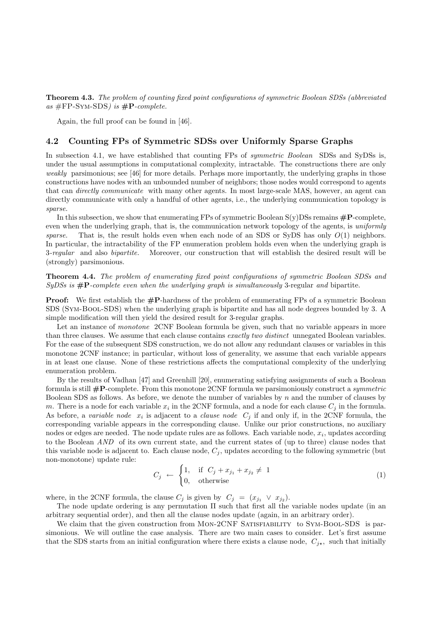**Theorem 4.3.** The problem of counting fixed point configurations of symmetric Boolean SDSs (abbreviated) as  $\#FP\text{-SYM-SDS}$  is  $\#P\text{-complete}$ .

Again, the full proof can be found in [46].

### 4.2 Counting FPs of Symmetric SDSs over Uniformly Sparse Graphs

In subsection 4.1, we have established that counting FPs of *symmetric Boolean* SDSs and SyDSs is, under the usual assumptions in computational complexity, intractable. The constructions there are only weakly parsimonious; see [46] for more details. Perhaps more importantly, the underlying graphs in those constructions have nodes with an unbounded number of neighbors; those nodes would correspond to agents that can directly communicate with many other agents. In most large-scale MAS, however, an agent can directly communicate with only a handful of other agents, i.e., the underlying communication topology is sparse.

In this subsection, we show that enumerating FPs of symmetric Boolean  $S(y)$ DSs remains  $\#P$ -complete, even when the underlying graph, that is, the communication network topology of the agents, is uniformly sparse. That is, the result holds even when each node of an SDS or SyDS has only  $O(1)$  neighbors. In particular, the intractability of the FP enumeration problem holds even when the underlying graph is 3-regular and also bipartite. Moreover, our construction that will establish the desired result will be (strongly) parsimonious.

### Theorem 4.4. The problem of enumerating fixed point configurations of symmetric Boolean SDSs and  $SyDSS$  is  $\#P$ -complete even when the underlying graph is simultaneously 3-regular and bipartite.

**Proof:** We first establish the  $\#P$ -hardness of the problem of enumerating FPs of a symmetric Boolean SDS (Sym-Bool-SDS) when the underlying graph is bipartite and has all node degrees bounded by 3. A simple modification will then yield the desired result for 3-regular graphs.

Let an instance of *monotone* 2CNF Boolean formula be given, such that no variable appears in more than three clauses. We assume that each clause contains exactly two distinct unnegated Boolean variables. For the ease of the subsequent SDS construction, we do not allow any redundant clauses or variables in this monotone 2CNF instance; in particular, without loss of generality, we assume that each variable appears in at least one clause. None of these restrictions affects the computational complexity of the underlying enumeration problem.

By the results of Vadhan [47] and Greenhill [20], enumerating satisfying assignments of such a Boolean formula is still  $\#\mathbf{P}$ -complete. From this monotone 2CNF formula we parsimoniously construct a *symmetric* Boolean SDS as follows. As before, we denote the number of variables by  $n$  and the number of clauses by m. There is a node for each variable  $x_i$  in the 2CNF formula, and a node for each clause  $C_j$  in the formula. As before, a variable node  $x_i$  is adjacent to a *clause node*  $C_j$  if and only if, in the 2CNF formula, the corresponding variable appears in the corresponding clause. Unlike our prior constructions, no auxiliary nodes or edges are needed. The node update rules are as follows. Each variable node,  $x_i$ , updates according to the Boolean AND of its own current state, and the current states of (up to three) clause nodes that this variable node is adjacent to. Each clause node,  $C_j$ , updates according to the following symmetric (but non-monotone) update rule:

$$
C_j \leftarrow \begin{cases} 1, & \text{if } C_j + x_{j_1} + x_{j_2} \neq 1 \\ 0, & \text{otherwise} \end{cases} \tag{1}
$$

where, in the 2CNF formula, the clause  $C_j$  is given by  $C_j = (x_{j_1} \vee x_{j_2})$ .

The node update ordering is any permutation Π such that first all the variable nodes update (in an arbitrary sequential order), and then all the clause nodes update (again, in an arbitrary order).

We claim that the given construction from MON-2CNF SATISFIABILITY to SYM-BOOL-SDS is parsimonious. We will outline the case analysis. There are two main cases to consider. Let's first assume that the SDS starts from an initial configuration where there exists a clause node,  $C_{i\star}$ , such that initially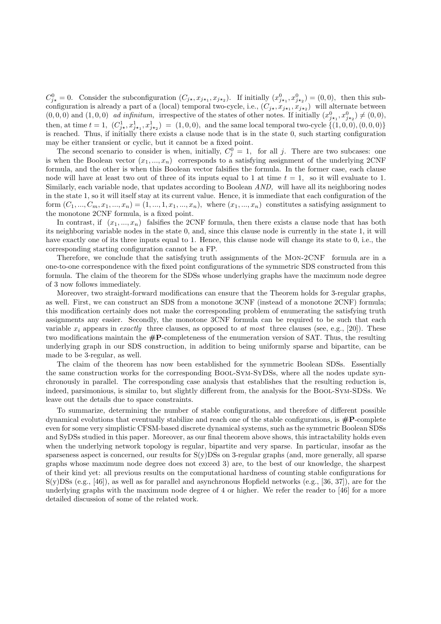$C_{j\star}^0=0$ . Consider the subconfiguration  $(C_{j\star}, x_{j\star_1}, x_{j\star_2})$ . If initially  $(x_{j\star_1}^0, x_{j\star_2}^0) = (0,0)$ , then this subconfiguration is already a part of a (local) temporal two-cycle, i.e.,  $(C_{j*}, x_{j*1}, x_{j*2})$  will alternate between  $(0,0,0)$  and  $(1,0,0)$  ad infinitum, irrespective of the states of other notes. If initially  $(x_{j*1}^0, x_{j*2}^0) \neq (0,0)$ , then, at time  $t = 1$ ,  $(C_{j*}^1, x_{j*1}^1, x_{j*2}^1) = (1, 0, 0)$ , and the same local temporal two-cycle  $\{(1, 0, 0), (0, 0, 0)\}$ is reached. Thus, if initially there exists a clause node that is in the state 0, such starting configuration may be either transient or cyclic, but it cannot be a fixed point.

The second scenario to consider is when, initially,  $C_j^0 = 1$ , for all j. There are two subcases: one is when the Boolean vector  $(x_1, ..., x_n)$  corresponds to a satisfying assignment of the underlying 2CNF formula, and the other is when this Boolean vector falsifies the formula. In the former case, each clause node will have at least two out of three of its inputs equal to 1 at time  $t = 1$ , so it will evaluate to 1. Similarly, each variable node, that updates according to Boolean AND, will have all its neighboring nodes in the state 1, so it will itself stay at its current value. Hence, it is immediate that each configuration of the form  $(C_1, ..., C_m, x_1, ..., x_n) = (1, ..., 1, x_1, ..., x_n)$ , where  $(x_1, ..., x_n)$  constitutes a satisfying assignment to the monotone 2CNF formula, is a fixed point.

In contrast, if  $(x_1, ..., x_n)$  falsifies the 2CNF formula, then there exists a clause node that has both its neighboring variable nodes in the state 0, and, since this clause node is currently in the state 1, it will have exactly one of its three inputs equal to 1. Hence, this clause node will change its state to 0, i.e., the corresponding starting configuration cannot be a FP.

Therefore, we conclude that the satisfying truth assignments of the Mon-2CNF formula are in a one-to-one correspondence with the fixed point configurations of the symmetric SDS constructed from this formula. The claim of the theorem for the SDSs whose underlying graphs have the maximum node degree of 3 now follows immediately.

Moreover, two straight-forward modifications can ensure that the Theorem holds for 3-regular graphs, as well. First, we can construct an SDS from a monotone 3CNF (instead of a monotone 2CNF) formula; this modification certainly does not make the corresponding problem of enumerating the satisfying truth assignments any easier. Secondly, the monotone 3CNF formula can be required to be such that each variable  $x_i$  appears in exactly three clauses, as opposed to at most three clauses (see, e.g., [20]). These two modifications maintain the  $\#\mathbf{P}$ -completeness of the enumeration version of SAT. Thus, the resulting underlying graph in our SDS construction, in addition to being uniformly sparse and bipartite, can be made to be 3-regular, as well.

The claim of the theorem has now been established for the symmetric Boolean SDSs. Essentially the same construction works for the corresponding Bool-Sym-SyDSs, where all the nodes update synchronously in parallel. The corresponding case analysis that establishes that the resulting reduction is, indeed, parsimonious, is similar to, but slightly different from, the analysis for the Bool-Sym-SDSs. We leave out the details due to space constraints.

To summarize, determining the number of stable configurations, and therefore of different possible dynamical evolutions that eventually stabilize and reach one of the stable configurations, is  $\#P$ -complete even for some very simplistic CFSM-based discrete dynamical systems, such as the symmetric Boolean SDSs and SyDSs studied in this paper. Moreover, as our final theorem above shows, this intractability holds even when the underlying network topology is regular, bipartite and very sparse. In particular, insofar as the sparseness aspect is concerned, our results for  $S(y)DSs$  on 3-regular graphs (and, more generally, all sparse graphs whose maximum node degree does not exceed 3) are, to the best of our knowledge, the sharpest of their kind yet: all previous results on the computational hardness of counting stable configurations for S(y)DSs (e.g., [46]), as well as for parallel and asynchronous Hopfield networks (e.g., [36, 37]), are for the underlying graphs with the maximum node degree of 4 or higher. We refer the reader to [46] for a more detailed discussion of some of the related work.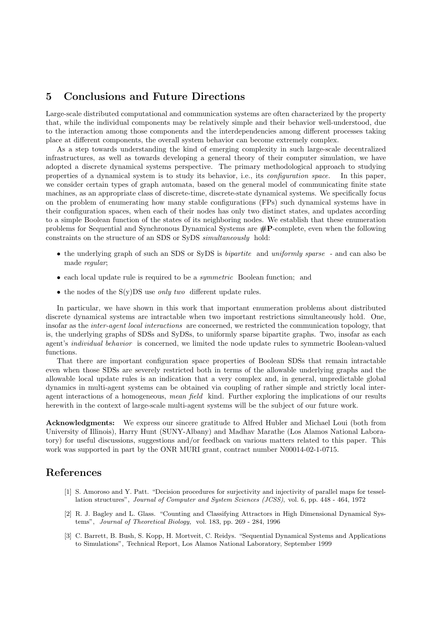# 5 Conclusions and Future Directions

Large-scale distributed computational and communication systems are often characterized by the property that, while the individual components may be relatively simple and their behavior well-understood, due to the interaction among those components and the interdependencies among different processes taking place at different components, the overall system behavior can become extremely complex.

As a step towards understanding the kind of emerging complexity in such large-scale decentralized infrastructures, as well as towards developing a general theory of their computer simulation, we have adopted a discrete dynamical systems perspective. The primary methodological approach to studying properties of a dynamical system is to study its behavior, i.e., its configuration space. In this paper, we consider certain types of graph automata, based on the general model of communicating finite state machines, as an appropriate class of discrete-time, discrete-state dynamical systems. We specifically focus on the problem of enumerating how many stable configurations (FPs) such dynamical systems have in their configuration spaces, when each of their nodes has only two distinct states, and updates according to a simple Boolean function of the states of its neighboring nodes. We establish that these enumeration problems for Sequential and Synchronous Dynamical Systems are  $\#P$ -complete, even when the following constraints on the structure of an SDS or SyDS simultaneously hold:

- the underlying graph of such an SDS or SyDS is *bipartite* and *uniformly sparse* and can also be made regular;
- each local update rule is required to be a symmetric Boolean function; and
- the nodes of the  $S(y)$ DS use *only two* different update rules.

In particular, we have shown in this work that important enumeration problems about distributed discrete dynamical systems are intractable when two important restrictions simultaneously hold. One, insofar as the inter-agent local interactions are concerned, we restricted the communication topology, that is, the underlying graphs of SDSs and SyDSs, to uniformly sparse bipartite graphs. Two, insofar as each agent's individual behavior is concerned, we limited the node update rules to symmetric Boolean-valued functions.

That there are important configuration space properties of Boolean SDSs that remain intractable even when those SDSs are severely restricted both in terms of the allowable underlying graphs and the allowable local update rules is an indication that a very complex and, in general, unpredictable global dynamics in multi-agent systems can be obtained via coupling of rather simple and strictly local interagent interactions of a homogeneous, mean field kind. Further exploring the implications of our results herewith in the context of large-scale multi-agent systems will be the subject of our future work.

Acknowledgments: We express our sincere gratitude to Alfred Hubler and Michael Loui (both from University of Illinois), Harry Hunt (SUNY-Albany) and Madhav Marathe (Los Alamos National Laboratory) for useful discussions, suggestions and/or feedback on various matters related to this paper. This work was supported in part by the ONR MURI grant, contract number N00014-02-1-0715.

## References

- [1] S. Amoroso and Y. Patt. "Decision procedures for surjectivity and injectivity of parallel maps for tessellation structures", Journal of Computer and System Sciences (JCSS), vol. 6, pp. 448 - 464, 1972
- [2] R. J. Bagley and L. Glass. "Counting and Classifying Attractors in High Dimensional Dynamical Systems", Journal of Theoretical Biology, vol. 183, pp. 269 - 284, 1996
- [3] C. Barrett, B. Bush, S. Kopp, H. Mortveit, C. Reidys. "Sequential Dynamical Systems and Applications to Simulations", Technical Report, Los Alamos National Laboratory, September 1999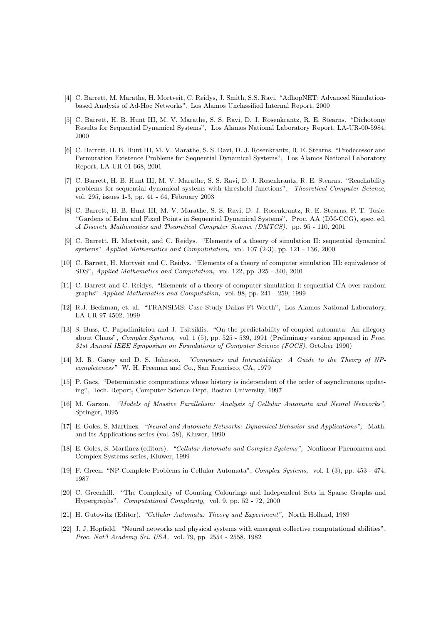- [4] C. Barrett, M. Marathe, H. Mortveit, C. Reidys, J. Smith, S.S. Ravi. "AdhopNET: Advanced Simulationbased Analysis of Ad-Hoc Networks", Los Alamos Unclassified Internal Report, 2000
- [5] C. Barrett, H. B. Hunt III, M. V. Marathe, S. S. Ravi, D. J. Rosenkrantz, R. E. Stearns. "Dichotomy Results for Sequential Dynamical Systems", Los Alamos National Laboratory Report, LA-UR-00-5984, 2000
- [6] C. Barrett, H. B. Hunt III, M. V. Marathe, S. S. Ravi, D. J. Rosenkrantz, R. E. Stearns. "Predecessor and Permutation Existence Problems for Sequential Dynamical Systems", Los Alamos National Laboratory Report, LA-UR-01-668, 2001
- [7] C. Barrett, H. B. Hunt III, M. V. Marathe, S. S. Ravi, D. J. Rosenkrantz, R. E. Stearns. "Reachability problems for sequential dynamical systems with threshold functions", Theoretical Computer Science, vol. 295, issues 1-3, pp. 41 - 64, February 2003
- [8] C. Barrett, H. B. Hunt III, M. V. Marathe, S. S. Ravi, D. J. Rosenkrantz, R. E. Stearns, P. T. Tosic. "Gardens of Eden and Fixed Points in Sequential Dynamical Systems", Proc. AA (DM-CCG), spec. ed. of Discrete Mathematics and Theoretical Computer Science (DMTCS), pp. 95 - 110, 2001
- [9] C. Barrett, H. Mortveit, and C. Reidys. "Elements of a theory of simulation II: sequential dynamical systems" Applied Mathematics and Compututation, vol. 107 (2-3), pp. 121 - 136, 2000
- [10] C. Barrett, H. Mortveit and C. Reidys. "Elements of a theory of computer simulation III: equivalence of SDS", Applied Mathematics and Computation, vol. 122, pp. 325 - 340, 2001
- [11] C. Barrett and C. Reidys. "Elements of a theory of computer simulation I: sequential CA over random graphs" Applied Mathematics and Computation, vol. 98, pp. 241 - 259, 1999
- [12] R.J. Beckman, et. al. "TRANSIMS: Case Study Dallas Ft-Worth", Los Alamos National Laboratory, LA UR 97-4502, 1999
- [13] S. Buss, C. Papadimitriou and J. Tsitsiklis. "On the predictability of coupled automata: An allegory about Chaos", Complex Systems, vol. 1 (5), pp. 525 - 539, 1991 (Preliminary version appeared in Proc. 31st Annual IEEE Symposium on Foundations of Computer Science (FOCS), October 1990)
- [14] M. R. Garey and D. S. Johnson. "Computers and Intractability: A Guide to the Theory of NPcompleteness" W. H. Freeman and Co., San Francisco, CA, 1979
- [15] P. Gacs. "Deterministic computations whose history is independent of the order of asynchronous updating", Tech. Report, Computer Science Dept, Boston University, 1997
- [16] M. Garzon. "Models of Massive Parallelism: Analysis of Cellular Automata and Neural Networks". Springer, 1995
- [17] E. Goles, S. Martinez. "Neural and Automata Networks: Dynamical Behavior and Applications", Math. and Its Applications series (vol. 58), Kluwer, 1990
- [18] E. Goles, S. Martinez (editors). "Cellular Automata and Complex Systems", Nonlinear Phenomena and Complex Systems series, Kluwer, 1999
- [19] F. Green. "NP-Complete Problems in Cellular Automata", Complex Systems, vol. 1 (3), pp. 453 474, 1987
- [20] C. Greenhill. "The Complexity of Counting Colourings and Independent Sets in Sparse Graphs and Hypergraphs", Computational Complexity, vol. 9, pp. 52 - 72, 2000
- [21] H. Gutowitz (Editor). "Cellular Automata: Theory and Experiment", North Holland, 1989
- [22] J. J. Hopfield. "Neural networks and physical systems with emergent collective computational abilities", Proc. Nat'l Academy Sci. USA, vol. 79, pp. 2554 - 2558, 1982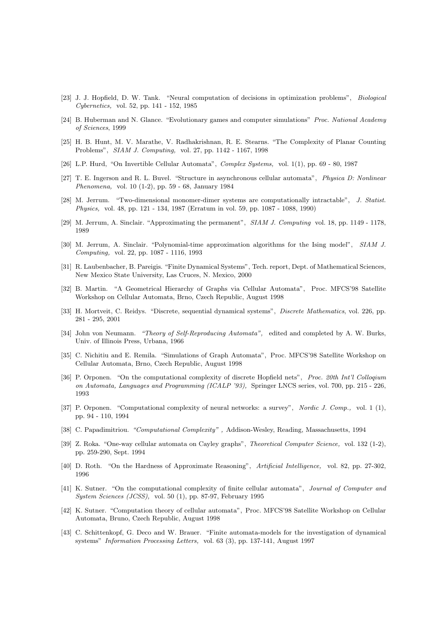- [23] J. J. Hopfield, D. W. Tank. "Neural computation of decisions in optimization problems", Biological Cybernetics, vol. 52, pp. 141 - 152, 1985
- [24] B. Huberman and N. Glance. "Evolutionary games and computer simulations" Proc. National Academy of Sciences, 1999
- [25] H. B. Hunt, M. V. Marathe, V. Radhakrishnan, R. E. Stearns. "The Complexity of Planar Counting Problems", SIAM J. Computing, vol. 27, pp. 1142 - 1167, 1998
- [26] L.P. Hurd, "On Invertible Cellular Automata", Complex Systems, vol. 1(1), pp. 69 80, 1987
- [27] T. E. Ingerson and R. L. Buvel. "Structure in asynchronous cellular automata", Physica D: Nonlinear Phenomena, vol. 10 (1-2), pp. 59 - 68, January 1984
- [28] M. Jerrum. "Two-dimensional monomer-dimer systems are computationally intractable", J. Statist. Physics, vol. 48, pp. 121 - 134, 1987 (Erratum in vol. 59, pp. 1087 - 1088, 1990)
- [29] M. Jerrum, A. Sinclair. "Approximating the permanent", SIAM J. Computing vol. 18, pp. 1149 1178, 1989
- [30] M. Jerrum, A. Sinclair. "Polynomial-time approximation algorithms for the Ising model", SIAM J. Computing, vol. 22, pp. 1087 - 1116, 1993
- [31] R. Laubenbacher, B. Pareigis. "Finite Dynamical Systems", Tech. report, Dept. of Mathematical Sciences, New Mexico State University, Las Cruces, N. Mexico, 2000
- [32] B. Martin. "A Geometrical Hierarchy of Graphs via Cellular Automata", Proc. MFCS'98 Satellite Workshop on Cellular Automata, Brno, Czech Republic, August 1998
- [33] H. Mortveit, C. Reidys. "Discrete, sequential dynamical systems", Discrete Mathematics, vol. 226, pp. 281 - 295, 2001
- [34] John von Neumann. "Theory of Self-Reproducing Automata", edited and completed by A. W. Burks, Univ. of Illinois Press, Urbana, 1966
- [35] C. Nichitiu and E. Remila. "Simulations of Graph Automata", Proc. MFCS'98 Satellite Workshop on Cellular Automata, Brno, Czech Republic, August 1998
- [36] P. Orponen. "On the computational complexity of discrete Hopfield nets", Proc. 20th Int'l Colloqium on Automata, Languages and Programming (ICALP '93), Springer LNCS series, vol. 700, pp. 215 - 226, 1993
- [37] P. Orponen. "Computational complexity of neural networks: a survey", Nordic J. Comp., vol. 1 (1), pp. 94 - 110, 1994
- [38] C. Papadimitriou. "Computational Complexity" , Addison-Wesley, Reading, Massachusetts, 1994
- [39] Z. Roka. "One-way cellular automata on Cayley graphs", Theoretical Computer Science, vol. 132 (1-2), pp. 259-290, Sept. 1994
- [40] D. Roth. "On the Hardness of Approximate Reasoning", Artificial Intelligence, vol. 82, pp. 27-302, 1996
- [41] K. Sutner. "On the computational complexity of finite cellular automata", Journal of Computer and System Sciences (JCSS), vol. 50 (1), pp. 87-97, February 1995
- [42] K. Sutner. "Computation theory of cellular automata", Proc. MFCS'98 Satellite Workshop on Cellular Automata, Bruno, Czech Republic, August 1998
- [43] C. Schittenkopf, G. Deco and W. Brauer. "Finite automata-models for the investigation of dynamical systems" Information Processing Letters, vol. 63 (3), pp. 137-141, August 1997